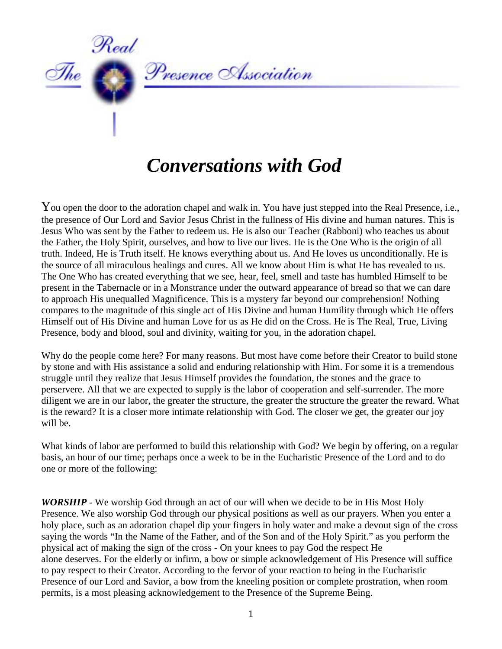

## *Conversations with God*

You open the door to the adoration chapel and walk in. You have just stepped into the Real Presence, i.e., the presence of Our Lord and Savior Jesus Christ in the fullness of His divine and human natures. This is Jesus Who was sent by the Father to redeem us. He is also our Teacher (Rabboni) who teaches us about the Father, the Holy Spirit, ourselves, and how to live our lives. He is the One Who is the origin of all truth. Indeed, He is Truth itself. He knows everything about us. And He loves us unconditionally. He is the source of all miraculous healings and cures. All we know about Him is what He has revealed to us. The One Who has created everything that we see, hear, feel, smell and taste has humbled Himself to be present in the Tabernacle or in a Monstrance under the outward appearance of bread so that we can dare to approach His unequalled Magnificence. This is a mystery far beyond our comprehension! Nothing compares to the magnitude of this single act of His Divine and human Humility through which He offers Himself out of His Divine and human Love for us as He did on the Cross. He is The Real, True, Living Presence, body and blood, soul and divinity, waiting for you, in the adoration chapel.

Why do the people come here? For many reasons. But most have come before their Creator to build stone by stone and with His assistance a solid and enduring relationship with Him. For some it is a tremendous struggle until they realize that Jesus Himself provides the foundation, the stones and the grace to perservere. All that we are expected to supply is the labor of cooperation and self-surrender. The more diligent we are in our labor, the greater the structure, the greater the structure the greater the reward. What is the reward? It is a closer more intimate relationship with God. The closer we get, the greater our joy will be.

What kinds of labor are performed to build this relationship with God? We begin by offering, on a regular basis, an hour of our time; perhaps once a week to be in the Eucharistic Presence of the Lord and to do one or more of the following:

*WORSHIP* - We worship God through an act of our will when we decide to be in His Most Holy Presence. We also worship God through our physical positions as well as our prayers. When you enter a holy place, such as an adoration chapel dip your fingers in holy water and make a devout sign of the cross saying the words "In the Name of the Father, and of the Son and of the Holy Spirit." as you perform the physical act of making the sign of the cross - On your knees to pay God the respect He alone deserves. For the elderly or infirm, a bow or simple acknowledgement of His Presence will suffice to pay respect to their Creator. According to the fervor of your reaction to being in the Eucharistic Presence of our Lord and Savior, a bow from the kneeling position or complete prostration, when room permits, is a most pleasing acknowledgement to the Presence of the Supreme Being.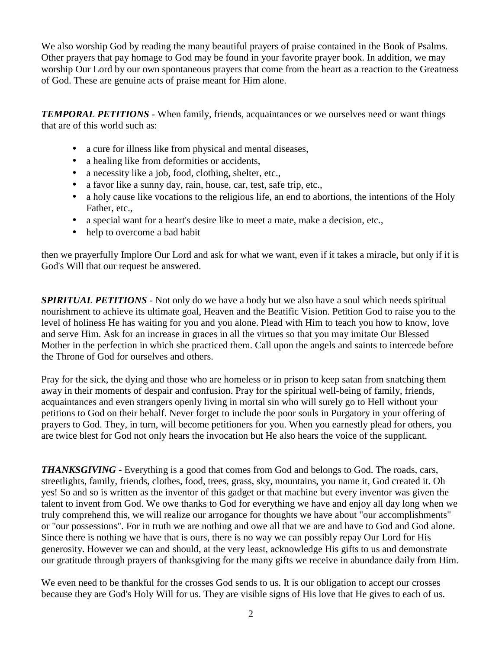We also worship God by reading the many beautiful prayers of praise contained in the Book of Psalms. Other prayers that pay homage to God may be found in your favorite prayer book. In addition, we may worship Our Lord by our own spontaneous prayers that come from the heart as a reaction to the Greatness of God. These are genuine acts of praise meant for Him alone.

*TEMPORAL PETITIONS* - When family, friends, acquaintances or we ourselves need or want things that are of this world such as:

- a cure for illness like from physical and mental diseases,
- a healing like from deformities or accidents,
- a necessity like a job, food, clothing, shelter, etc.,
- a favor like a sunny day, rain, house, car, test, safe trip, etc.,
- a holy cause like vocations to the religious life, an end to abortions, the intentions of the Holy Father, etc.,
- a special want for a heart's desire like to meet a mate, make a decision, etc.,
- help to overcome a bad habit

then we prayerfully Implore Our Lord and ask for what we want, even if it takes a miracle, but only if it is God's Will that our request be answered.

*SPIRITUAL PETITIONS* - Not only do we have a body but we also have a soul which needs spiritual nourishment to achieve its ultimate goal, Heaven and the Beatific Vision. Petition God to raise you to the level of holiness He has waiting for you and you alone. Plead with Him to teach you how to know, love and serve Him. Ask for an increase in graces in all the virtues so that you may imitate Our Blessed Mother in the perfection in which she practiced them. Call upon the angels and saints to intercede before the Throne of God for ourselves and others.

Pray for the sick, the dying and those who are homeless or in prison to keep satan from snatching them away in their moments of despair and confusion. Pray for the spiritual well-being of family, friends, acquaintances and even strangers openly living in mortal sin who will surely go to Hell without your petitions to God on their behalf. Never forget to include the poor souls in Purgatory in your offering of prayers to God. They, in turn, will become petitioners for you. When you earnestly plead for others, you are twice blest for God not only hears the invocation but He also hears the voice of the supplicant.

*THANKSGIVING* - Everything is a good that comes from God and belongs to God. The roads, cars, streetlights, family, friends, clothes, food, trees, grass, sky, mountains, you name it, God created it. Oh yes! So and so is written as the inventor of this gadget or that machine but every inventor was given the talent to invent from God. We owe thanks to God for everything we have and enjoy all day long when we truly comprehend this, we will realize our arrogance for thoughts we have about "our accomplishments" or "our possessions". For in truth we are nothing and owe all that we are and have to God and God alone. Since there is nothing we have that is ours, there is no way we can possibly repay Our Lord for His generosity. However we can and should, at the very least, acknowledge His gifts to us and demonstrate our gratitude through prayers of thanksgiving for the many gifts we receive in abundance daily from Him.

We even need to be thankful for the crosses God sends to us. It is our obligation to accept our crosses because they are God's Holy Will for us. They are visible signs of His love that He gives to each of us.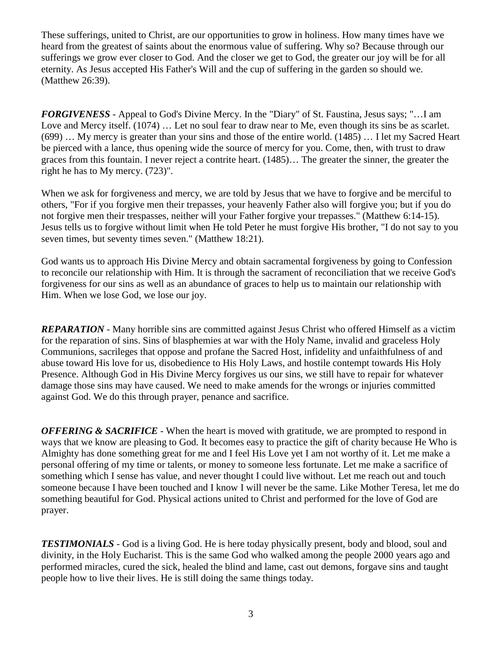These sufferings, united to Christ, are our opportunities to grow in holiness. How many times have we heard from the greatest of saints about the enormous value of suffering. Why so? Because through our sufferings we grow ever closer to God. And the closer we get to God, the greater our joy will be for all eternity. As Jesus accepted His Father's Will and the cup of suffering in the garden so should we. (Matthew 26:39).

*FORGIVENESS* - Appeal to God's Divine Mercy. In the "Diary" of St. Faustina, Jesus says; "…I am Love and Mercy itself. (1074) ... Let no soul fear to draw near to Me, even though its sins be as scarlet. (699) … My mercy is greater than your sins and those of the entire world. (1485) … I let my Sacred Heart be pierced with a lance, thus opening wide the source of mercy for you. Come, then, with trust to draw graces from this fountain. I never reject a contrite heart. (1485)… The greater the sinner, the greater the right he has to My mercy. (723)".

When we ask for forgiveness and mercy, we are told by Jesus that we have to forgive and be merciful to others, "For if you forgive men their trepasses, your heavenly Father also will forgive you; but if you do not forgive men their trespasses, neither will your Father forgive your trepasses." (Matthew 6:14-15). Jesus tells us to forgive without limit when He told Peter he must forgive His brother, "I do not say to you seven times, but seventy times seven." (Matthew 18:21).

God wants us to approach His Divine Mercy and obtain sacramental forgiveness by going to Confession to reconcile our relationship with Him. It is through the sacrament of reconciliation that we receive God's forgiveness for our sins as well as an abundance of graces to help us to maintain our relationship with Him. When we lose God, we lose our joy.

*REPARATION* - Many horrible sins are committed against Jesus Christ who offered Himself as a victim for the reparation of sins. Sins of blasphemies at war with the Holy Name, invalid and graceless Holy Communions, sacrileges that oppose and profane the Sacred Host, infidelity and unfaithfulness of and abuse toward His love for us, disobedience to His Holy Laws, and hostile contempt towards His Holy Presence. Although God in His Divine Mercy forgives us our sins, we still have to repair for whatever damage those sins may have caused. We need to make amends for the wrongs or injuries committed against God. We do this through prayer, penance and sacrifice.

*OFFERING & SACRIFICE* - When the heart is moved with gratitude, we are prompted to respond in ways that we know are pleasing to God. It becomes easy to practice the gift of charity because He Who is Almighty has done something great for me and I feel His Love yet I am not worthy of it. Let me make a personal offering of my time or talents, or money to someone less fortunate. Let me make a sacrifice of something which I sense has value, and never thought I could live without. Let me reach out and touch someone because I have been touched and I know I will never be the same. Like Mother Teresa, let me do something beautiful for God. Physical actions united to Christ and performed for the love of God are prayer.

**TESTIMONIALS** - God is a living God. He is here today physically present, body and blood, soul and divinity, in the Holy Eucharist. This is the same God who walked among the people 2000 years ago and performed miracles, cured the sick, healed the blind and lame, cast out demons, forgave sins and taught people how to live their lives. He is still doing the same things today.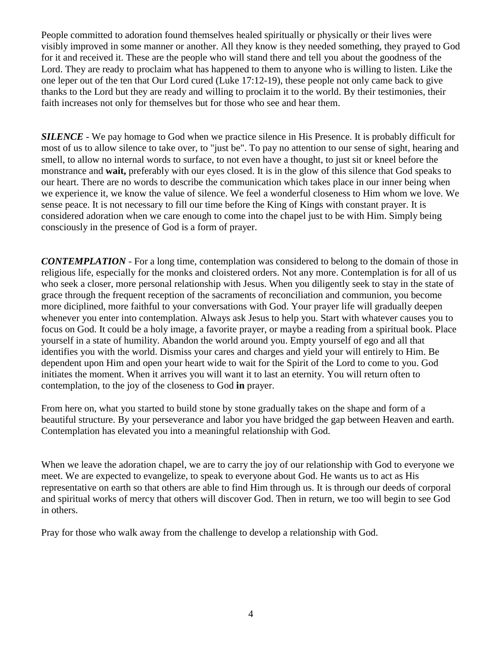People committed to adoration found themselves healed spiritually or physically or their lives were visibly improved in some manner or another. All they know is they needed something, they prayed to God for it and received it. These are the people who will stand there and tell you about the goodness of the Lord. They are ready to proclaim what has happened to them to anyone who is willing to listen. Like the one leper out of the ten that Our Lord cured (Luke 17:12-19), these people not only came back to give thanks to the Lord but they are ready and willing to proclaim it to the world. By their testimonies, their faith increases not only for themselves but for those who see and hear them.

*SILENCE* - We pay homage to God when we practice silence in His Presence. It is probably difficult for most of us to allow silence to take over, to "just be". To pay no attention to our sense of sight, hearing and smell, to allow no internal words to surface, to not even have a thought, to just sit or kneel before the monstrance and **wait,** preferably with our eyes closed. It is in the glow of this silence that God speaks to our heart. There are no words to describe the communication which takes place in our inner being when we experience it, we know the value of silence. We feel a wonderful closeness to Him whom we love. We sense peace. It is not necessary to fill our time before the King of Kings with constant prayer. It is considered adoration when we care enough to come into the chapel just to be with Him. Simply being consciously in the presence of God is a form of prayer.

*CONTEMPLATION* - For a long time, contemplation was considered to belong to the domain of those in religious life, especially for the monks and cloistered orders. Not any more. Contemplation is for all of us who seek a closer, more personal relationship with Jesus. When you diligently seek to stay in the state of grace through the frequent reception of the sacraments of reconciliation and communion, you become more diciplined, more faithful to your conversations with God. Your prayer life will gradually deepen whenever you enter into contemplation. Always ask Jesus to help you. Start with whatever causes you to focus on God. It could be a holy image, a favorite prayer, or maybe a reading from a spiritual book. Place yourself in a state of humility. Abandon the world around you. Empty yourself of ego and all that identifies you with the world. Dismiss your cares and charges and yield your will entirely to Him. Be dependent upon Him and open your heart wide to wait for the Spirit of the Lord to come to you. God initiates the moment. When it arrives you will want it to last an eternity. You will return often to contemplation, to the joy of the closeness to God **in** prayer.

From here on, what you started to build stone by stone gradually takes on the shape and form of a beautiful structure. By your perseverance and labor you have bridged the gap between Heaven and earth. Contemplation has elevated you into a meaningful relationship with God.

When we leave the adoration chapel, we are to carry the joy of our relationship with God to everyone we meet. We are expected to evangelize, to speak to everyone about God. He wants us to act as His representative on earth so that others are able to find Him through us. It is through our deeds of corporal and spiritual works of mercy that others will discover God. Then in return, we too will begin to see God in others.

Pray for those who walk away from the challenge to develop a relationship with God.